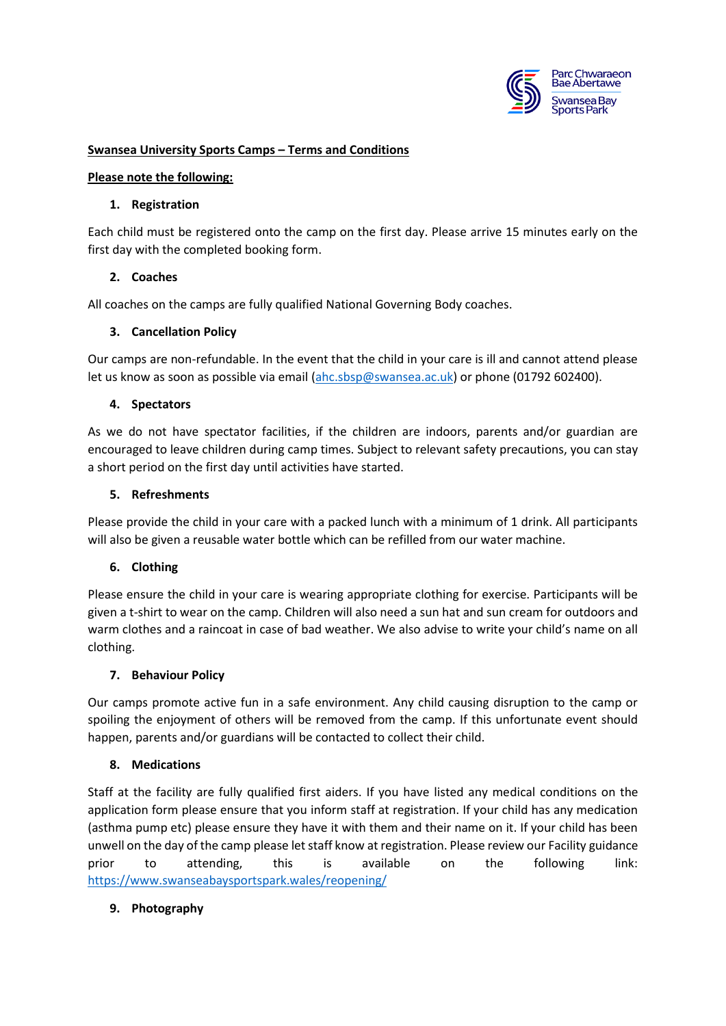

## **Swansea University Sports Camps – Terms and Conditions**

### **Please note the following:**

### **1. Registration**

Each child must be registered onto the camp on the first day. Please arrive 15 minutes early on the first day with the completed booking form.

## **2. Coaches**

All coaches on the camps are fully qualified National Governing Body coaches.

## **3. Cancellation Policy**

Our camps are non-refundable. In the event that the child in your care is ill and cannot attend please let us know as soon as possible via email [\(ahc.sbsp@swansea.ac.uk\)](mailto:ahc.sbsp@swansea.ac.uk) or phone (01792 602400).

## **4. Spectators**

As we do not have spectator facilities, if the children are indoors, parents and/or guardian are encouraged to leave children during camp times. Subject to relevant safety precautions, you can stay a short period on the first day until activities have started.

## **5. Refreshments**

Please provide the child in your care with a packed lunch with a minimum of 1 drink. All participants will also be given a reusable water bottle which can be refilled from our water machine.

# **6. Clothing**

Please ensure the child in your care is wearing appropriate clothing for exercise. Participants will be given a t-shirt to wear on the camp. Children will also need a sun hat and sun cream for outdoors and warm clothes and a raincoat in case of bad weather. We also advise to write your child's name on all clothing.

### **7. Behaviour Policy**

Our camps promote active fun in a safe environment. Any child causing disruption to the camp or spoiling the enjoyment of others will be removed from the camp. If this unfortunate event should happen, parents and/or guardians will be contacted to collect their child.

# **8. Medications**

Staff at the facility are fully qualified first aiders. If you have listed any medical conditions on the application form please ensure that you inform staff at registration. If your child has any medication (asthma pump etc) please ensure they have it with them and their name on it. If your child has been unwell on the day of the camp please let staff know at registration. Please review our Facility guidance prior to attending, this is available on the following link: <https://www.swanseabaysportspark.wales/reopening/>

# **9. Photography**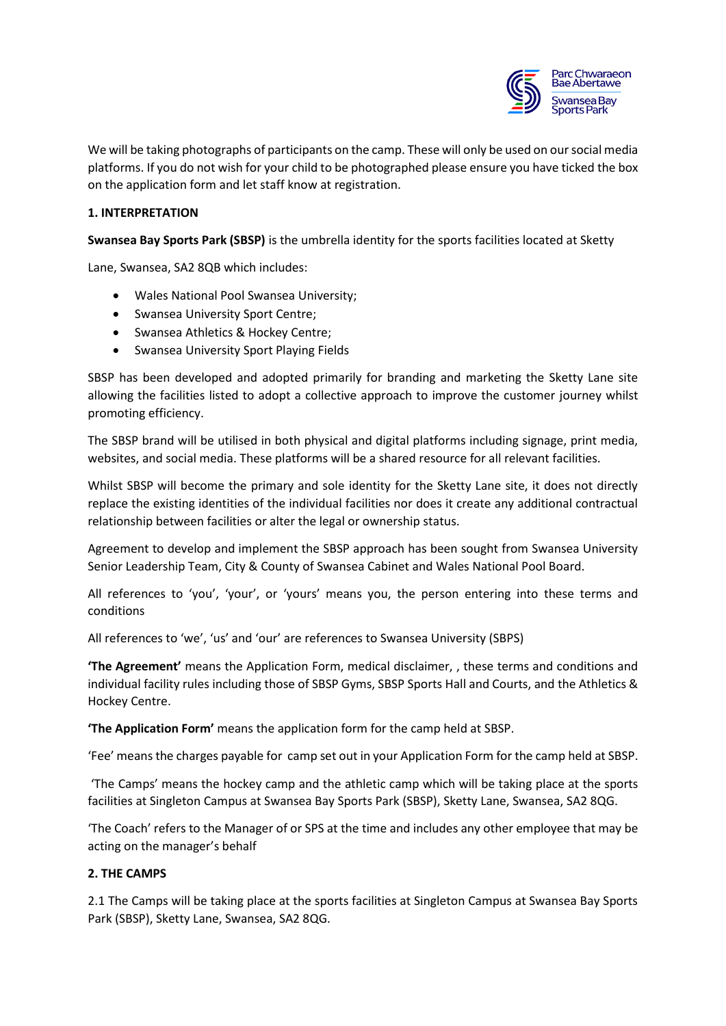

We will be taking photographs of participants on the camp. These will only be used on our social media platforms. If you do not wish for your child to be photographed please ensure you have ticked the box on the application form and let staff know at registration.

## **1. INTERPRETATION**

**Swansea Bay Sports Park (SBSP)** is the umbrella identity for the sports facilities located at Sketty

Lane, Swansea, SA2 8QB which includes:

- Wales National Pool Swansea University;
- Swansea University Sport Centre;
- Swansea Athletics & Hockey Centre;
- Swansea University Sport Playing Fields

SBSP has been developed and adopted primarily for branding and marketing the Sketty Lane site allowing the facilities listed to adopt a collective approach to improve the customer journey whilst promoting efficiency.

The SBSP brand will be utilised in both physical and digital platforms including signage, print media, websites, and social media. These platforms will be a shared resource for all relevant facilities.

Whilst SBSP will become the primary and sole identity for the Sketty Lane site, it does not directly replace the existing identities of the individual facilities nor does it create any additional contractual relationship between facilities or alter the legal or ownership status.

Agreement to develop and implement the SBSP approach has been sought from Swansea University Senior Leadership Team, City & County of Swansea Cabinet and Wales National Pool Board.

All references to 'you', 'your', or 'yours' means you, the person entering into these terms and conditions

All references to 'we', 'us' and 'our' are references to Swansea University (SBPS)

**'The Agreement'** means the Application Form, medical disclaimer, , these terms and conditions and individual facility rules including those of SBSP Gyms, SBSP Sports Hall and Courts, and the Athletics & Hockey Centre.

**'The Application Form'** means the application form for the camp held at SBSP.

'Fee' means the charges payable for camp set out in your Application Form for the camp held at SBSP.

'The Camps' means the hockey camp and the athletic camp which will be taking place at the sports facilities at Singleton Campus at Swansea Bay Sports Park (SBSP), Sketty Lane, Swansea, SA2 8QG.

'The Coach' refers to the Manager of or SPS at the time and includes any other employee that may be acting on the manager's behalf

### **2. THE CAMPS**

2.1 The Camps will be taking place at the sports facilities at Singleton Campus at Swansea Bay Sports Park (SBSP), Sketty Lane, Swansea, SA2 8QG.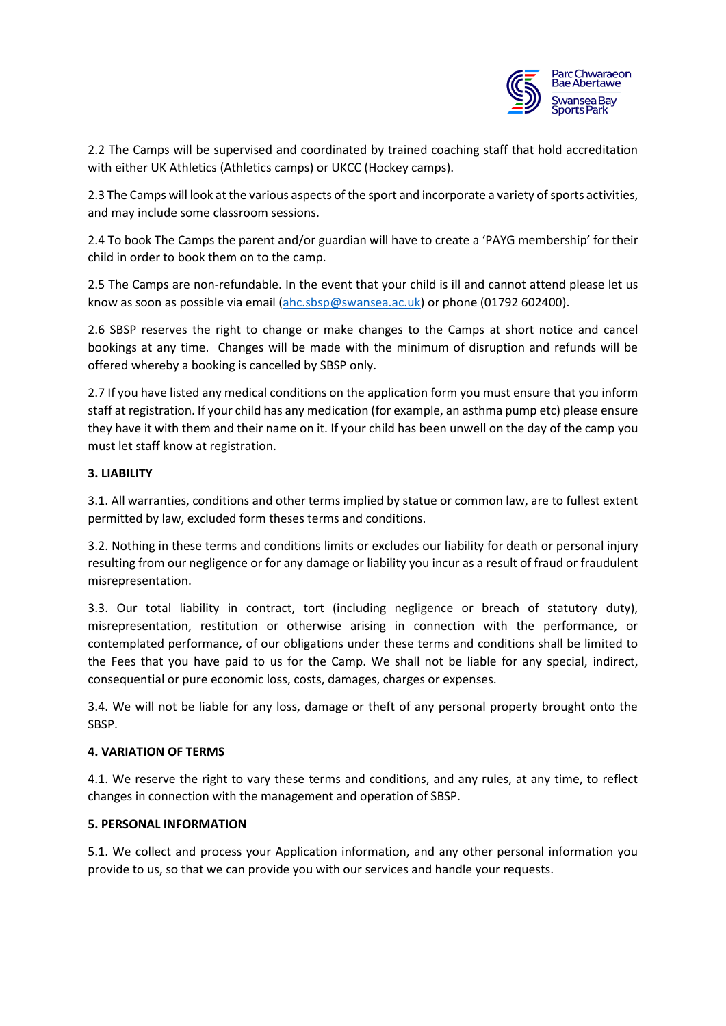

2.2 The Camps will be supervised and coordinated by trained coaching staff that hold accreditation with either UK Athletics (Athletics camps) or UKCC (Hockey camps).

2.3 The Camps will look at the various aspects of the sport and incorporate a variety of sports activities, and may include some classroom sessions.

2.4 To book The Camps the parent and/or guardian will have to create a 'PAYG membership' for their child in order to book them on to the camp.

2.5 The Camps are non-refundable. In the event that your child is ill and cannot attend please let us know as soon as possible via email [\(ahc.sbsp@swansea.ac.uk\)](mailto:ahc.sbsp@swansea.ac.uk) or phone (01792 602400).

2.6 SBSP reserves the right to change or make changes to the Camps at short notice and cancel bookings at any time. Changes will be made with the minimum of disruption and refunds will be offered whereby a booking is cancelled by SBSP only.

2.7 If you have listed any medical conditions on the application form you must ensure that you inform staff at registration. If your child has any medication (for example, an asthma pump etc) please ensure they have it with them and their name on it. If your child has been unwell on the day of the camp you must let staff know at registration.

## **3. LIABILITY**

3.1. All warranties, conditions and other terms implied by statue or common law, are to fullest extent permitted by law, excluded form theses terms and conditions.

3.2. Nothing in these terms and conditions limits or excludes our liability for death or personal injury resulting from our negligence or for any damage or liability you incur as a result of fraud or fraudulent misrepresentation.

3.3. Our total liability in contract, tort (including negligence or breach of statutory duty), misrepresentation, restitution or otherwise arising in connection with the performance, or contemplated performance, of our obligations under these terms and conditions shall be limited to the Fees that you have paid to us for the Camp. We shall not be liable for any special, indirect, consequential or pure economic loss, costs, damages, charges or expenses.

3.4. We will not be liable for any loss, damage or theft of any personal property brought onto the SBSP.

### **4. VARIATION OF TERMS**

4.1. We reserve the right to vary these terms and conditions, and any rules, at any time, to reflect changes in connection with the management and operation of SBSP.

### **5. PERSONAL INFORMATION**

5.1. We collect and process your Application information, and any other personal information you provide to us, so that we can provide you with our services and handle your requests.